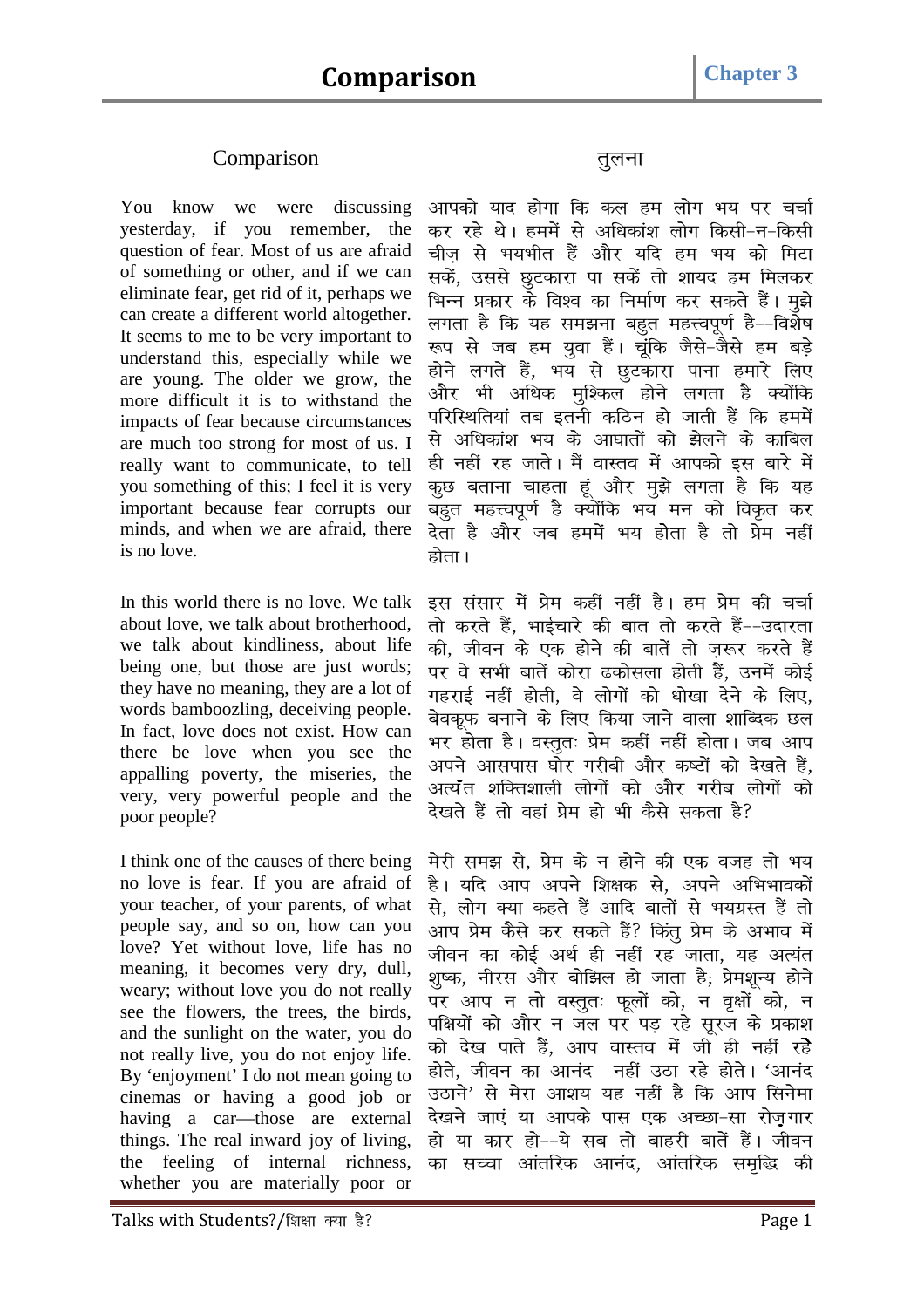## Comparison *rqyuk*

You know we were discussing yesterday, if you remember, the question of fear. Most of us are afraid of something or other, and if we can eliminate fear, get rid of it, perhaps we can create a different world altogether. It seems to me to be very important to understand this, especially while we are young. The older we grow, the more difficult it is to withstand the impacts of fear because circumstances are much too strong for most of us. I really want to communicate, to tell you something of this; I feel it is very important because fear corrupts our minds, and when we are afraid, there is no love.

In this world there is no love. We talk about love, we talk about brotherhood, we talk about kindliness, about life being one, but those are just words; they have no meaning, they are a lot of words bamboozling, deceiving people. In fact, love does not exist. How can there be love when you see the appalling poverty, the miseries, the very, very powerful people and the poor people?

I think one of the causes of there being no love is fear. If you are afraid of your teacher, of your parents, of what people say, and so on, how can you love? Yet without love, life has no meaning, it becomes very dry, dull, weary; without love you do not really see the flowers, the trees, the birds, and the sunlight on the water, you do not really live, you do not enjoy life. By 'enjoyment' I do not mean going to cinemas or having a good job or having a car—those are external things. The real inward joy of living, the feeling of internal richness, whether you are materially poor or

*आ*पको याद होगा कि कल हम लोग भय पर चर्चा कर रहे थे। हममें से अधिकांश लोग किसी–न–किसी चीज से भयभीत हैं और यदि हम भय को मिटा सकें, उससे छूटकारा पा सकें तो शायद हम मिलकर भिन्न प्रकार के विश्व का निर्माण कर सकते हैं। मुझे लगता है कि यह समझना बहुत महत्त्वपूर्ण है--विशेष रूप से जब हम युवा हैं। चूंकि जैसे-जैसे हम बड़े होने लगते हैं, भय से छूटकारा पाना हमारे लिए और भी अधिक मुश्किल होने लगता है *क्यों*कि परिस्थितियां तब इतनी कठिन हो जाती हैं कि हममें *ls vf/kdka'k Hk; ds vk?kkrksa dks >syus ds dkfcy gh ugha jg tkrsA eSa okLro esa vkidks bl ckj s esa कु*छ बताना चाहता हूं और मुझे लगता है कि यह बहत महत्त्वपर्ण है क्योंकि भय मन को विकृत कर *nsrk gS vkSj tc geesa Hk; gksrk gS rks çse ugha होता* ।

इस संसार में प्रेम कहीं नहीं है। हम प्रेम की चर्चा *rks djrs gSa] HkkbZpkj s dh ckr rks djrs gSa&&mnkjrk*  की, जीवन के एक होने की बातें तो ज़रूर करते हैं *ij os lHkh ckrsa dksjk <dkslyk gksrh gSa] muesa dksb Z xgjkbZ ugha gksrh] os yksxksa dks /kks[kk nsus ds fy,]*  बेवकूफ बनाने के लिए किया जाने वाला शाब्दिक छल *Hkj gksrk gSA oLrqr% çse dgha ugha gksrkA tc vki*  अपने आसपास घोर गरीबी और कष्टों को देखते हैं, अत्य<sup>7</sup>त शक्तिशाली लोगों को और गरीब लोगों को *ns[krs gSa rks ogka çse gks Hkh dSls ldrk gS\* 

मेरी समझ से. प्रेम के न होने की एक वजह तो भय *gSA ;fn vki vius f'k{kd ls] vius vfHkHkkodksa ls] yksx D;k dgrs gSa vkfn ckrksa ls Hk;xzLr gSa rk s*  आप प्रेम कैसे कर सकते हैं? किंत प्रेम के अभाव में जीवन का कोई अर्थ ही नहीं रह जाता, यह अत्यंत शुष्क, नीरस और बोझिल हो जाता है; प्रेमशून्य होने पर आप न तो वस्तुतः फूलों को, न वृक्षों को, न पक्षियों को और न जल पर पड़ रहे सूरज के प्रकाश को देख पाते हैं, आप वास्तव में जी ही नहीं रहे होते, जीवन का आनंद नहीं उठा रहे होते। 'आनंद उठाने' से मेरा आशय यह नहीं है कि आप सिनेमा देखने जाएं या आपके पास एक अच्छा-सा रोजगार हो या कार हो--ये सब तो बाहरी बातें हैं। जीवन *का* सच्चा आंतरिक आनंद, आंतरिक समृद्धि की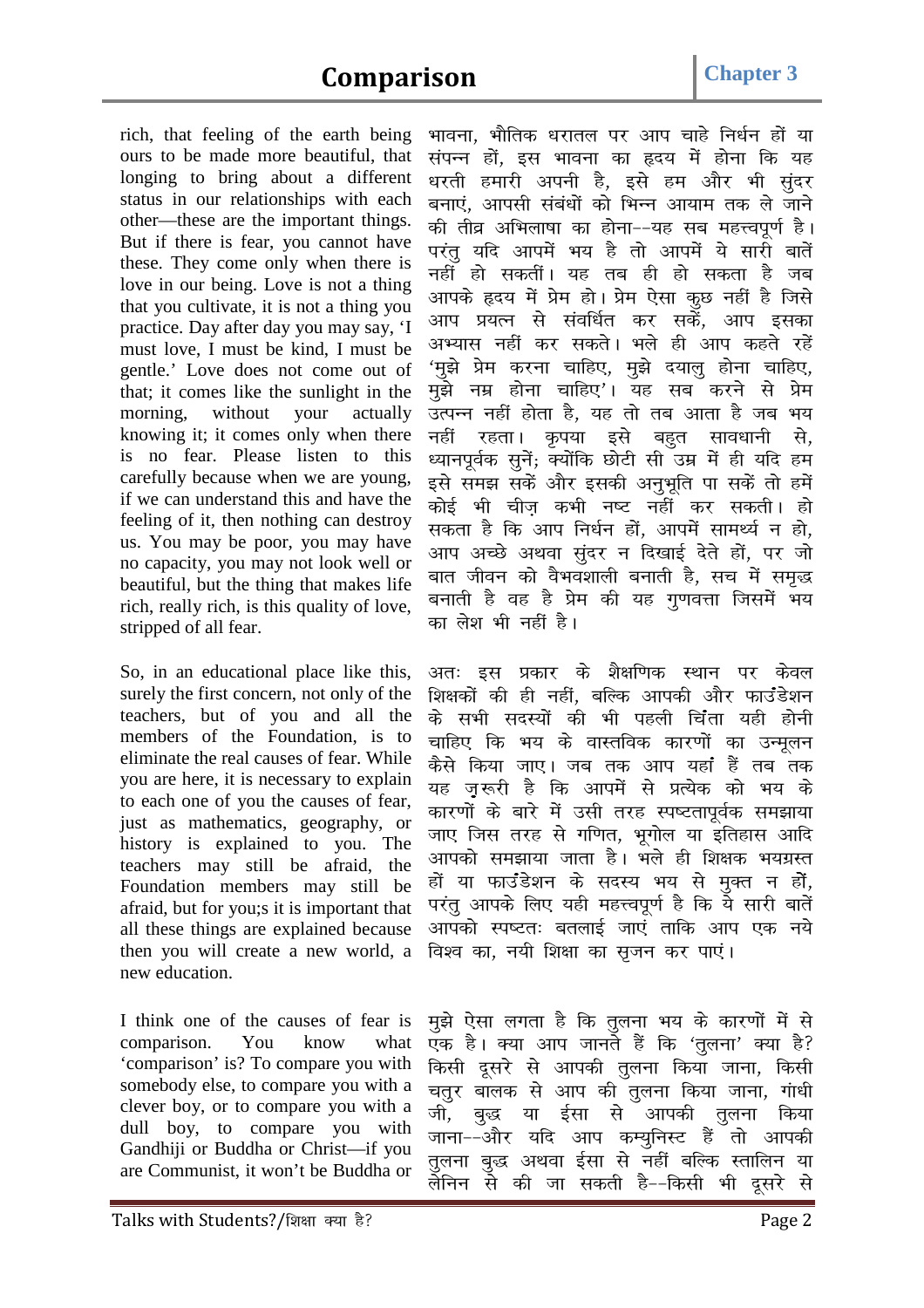rich, that feeling of the earth being ours to be made more beautiful, that longing to bring about a different status in our relationships with each other—these are the important things. But if there is fear, you cannot have these. They come only when there is love in our being. Love is not a thing that you cultivate, it is not a thing you practice. Day after day you may say, 'I must love, I must be kind, I must be gentle.' Love does not come out of that; it comes like the sunlight in the morning, without your actually knowing it; it comes only when there is no fear. Please listen to this carefully because when we are young, if we can understand this and have the feeling of it, then nothing can destroy us. You may be poor, you may have no capacity, you may not look well or beautiful, but the thing that makes life rich, really rich, is this quality of love, stripped of all fear.

So, in an educational place like this, surely the first concern, not only of the teachers, but of you and all the members of the Foundation, is to eliminate the real causes of fear. While you are here, it is necessary to explain to each one of you the causes of fear, just as mathematics, geography, or history is explained to you. The teachers may still be afraid, the Foundation members may still be afraid, but for you;s it is important that all these things are explained because then you will create a new world, a new education.

I think one of the causes of fear is comparison. You know what 'comparison' is? To compare you with somebody else, to compare you with a clever boy, or to compare you with a dull boy, to compare you with Gandhiji or Buddha or Christ—if you are Communist, it won't be Buddha or *Hkkouk] HkkSfrd /kjkry ij vki pkgs fu/kZu gksa ;k laiUu gksa] bl Hkkouk dk ân; esa gksuk fd ;g*  धरती हमारी अपनी है, इसे हम और भी सुंदर बनाएं, आपसी संबंधों को भिन्न आयाम तक ले जाने *की* तीव्र अभिलाषा का होना--यह सब महत्त्वपूर्ण है। परंत यदि आपमें भय है तो आपमें ये सारी बातें नहीं हो सकतीं। यह तब ही हो सकता है जब आपके हृदय में प्रेम हो। प्रेम ऐसा कृछ नहीं है जिसे आप प्रयत्न से संवर्धित कर सकें, आप इसक<del>ा</del> अभ्यास नहीं कर सकते। भले ही आप कहते रहे<mark>ं</mark> *'*मुझे प्रेम करना चाहिए, मुझे दयालु होना चाहिए, मुझे नम्र होना चाहिए'। यह सब करने से प्रेम उत्पन्न नहीं होता है, यह तो तब आता है जब भय नहीं रहता। कृपया इसे बहुत सावधानी से, *ध्यानपूर्वक सुनें; क्योंकि छोटी सी उम्र में ही य*दि हम इसे समझ सकें और इसकी अनृभृति पा सकें तो हमें *dksb Z Hkh pht+ dHkh u"V ugha dj ldrhA gks*  सकता है कि आप निर्धन हों, आपमें सामर्थ्य न हो, आप अच्छे अथवा संदर न दिखाई देते हों, पर जो बात जीवन को वैभवशाली बनाती है, सच में समृद्<mark>ध</mark> बनाती है वह है प्रेम की यह गुणवत्ता जिसमें भय का लेश भी नहीं है।

अतः इस प्रकार के शैक्षणिक स्थान पर केवल शिक्षकों की ही नहीं, बल्कि आपकी और फाउंडेशन *ds lHkh lnL;ksa dh Hkh igyh fpaark ;gh gksuh*  चाहिए कि भय के वास्तविक कारणों का उन्मूलन *कैसे किया जा*ए। जब तक आप यहां हैं तब तक यह ज़रूरी है कि आपमें से प्रत्येक को भय क<mark>े</mark> *कार*णों के बारे में उसी तरह स्पष्टतापूर्वक समझाया जाए जिस तरह से गणित, भूगोल या इतिहास आदि आपको समझाया जाता है। भले ही शिक्षक भयग्रस्त हों या फाउंडेशन के सदस्य भय से मुक्त न हों, परंतू आपके लिए यही महत्त्वपूर्ण है कि ये सारी बातें *vkidks Li"Vr% crykb Z tk,a rkfd vki ,d u;s*  विश्व का, नयी शिक्षा का सुजन कर पाएं।

मुझे ऐसा लगता है कि तुलना भय के कारणों में से एक है। क्या आप जानते हैं कि 'तूलना' क्या है? *कि*सी दूसरे से आपकी तूलना किया जाना, किसी *prqj ckyd ls vki dh rqyuk fd;k tkuk] xak/kh th] cq) ;k b Zlk ls vkidh rqyuk fd;k*  जाना--और यदि आप कम्युनिस्ट हैं तो आपक<mark>ी</mark> *rqyuk cq) vFkok b Zlk ls ugha cfYd Lrkfyu ;k*  लेनिन से की जा सकती है––किसी भी दूसरे से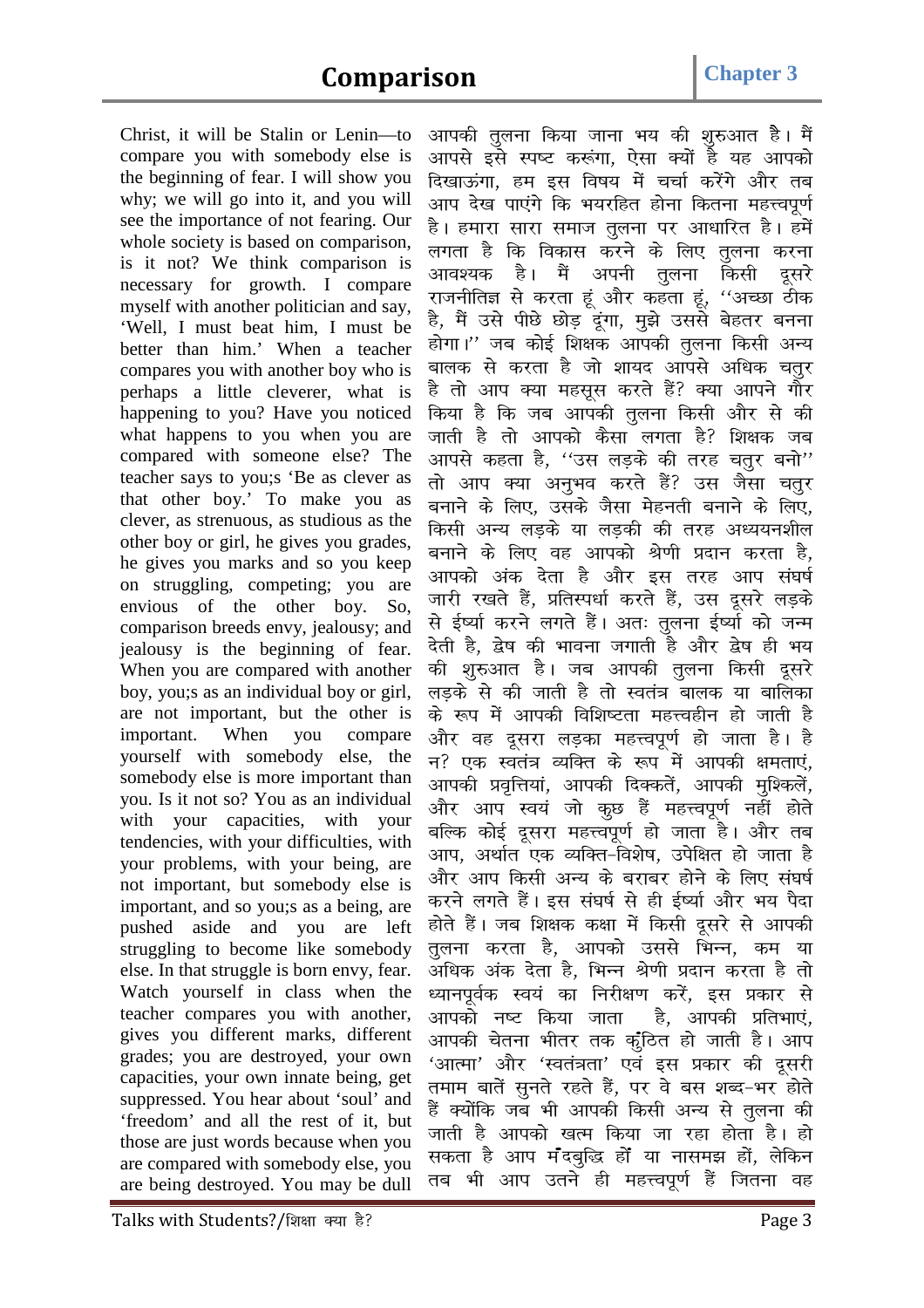Christ, it will be Stalin or Lenin—to compare you with somebody else is the beginning of fear. I will show you why; we will go into it, and you will see the importance of not fearing. Our whole society is based on comparison, is it not? We think comparison is necessary for growth. I compare myself with another politician and say, 'Well, I must beat him, I must be better than him.' When a teacher compares you with another boy who is perhaps a little cleverer, what is happening to you? Have you noticed what happens to you when you are compared with someone else? The teacher says to you;s 'Be as clever as that other boy.' To make you as clever, as strenuous, as studious as the other boy or girl, he gives you grades, he gives you marks and so you keep on struggling, competing; you are envious of the other boy. So, comparison breeds envy, jealousy; and jealousy is the beginning of fear. When you are compared with another boy, you;s as an individual boy or girl, are not important, but the other is important. When you compare yourself with somebody else, the somebody else is more important than you. Is it not so? You as an individual with your capacities, with your tendencies, with your difficulties, with your problems, with your being, are not important, but somebody else is important, and so you;s as a being, are pushed aside and you are left struggling to become like somebody else. In that struggle is born envy, fear. Watch yourself in class when the teacher compares you with another, gives you different marks, different grades; you are destroyed, your own capacities, your own innate being, get suppressed. You hear about 'soul' and 'freedom' and all the rest of it, but those are just words because when you are compared with somebody else, you are being destroyed. You may be dull

आपकी तुलना किया जाना भय की शुरुआत है। मैं आपसे इसे स्पष्ट करूंगा, ऐसा क्यों है यह आपको दिखाऊंगा, हम इस विषय में चर्चा करेंगे और तब आप देख पाएंगे कि भयरहित होना कितना महत्त्वपूर्ण *gSA gekjk lkjk lekt rqyuk ij vk/kkfjr gSA gesa yxrk gS fd fodkl djus ds fy, rqyuk djuk*  आवश्यक है। मैं अपनी <u>त</u>ूलना किसी दूसरे *jktuhfrK ls djrk gwa vkSj dgrk gwa] ^^vPNk Bhd*  है, मैं उसे पीछे छोड़ दूंगा, मुझे उससे बेहतर बनना होगा।'' जब कोई शिक्षक आपकी तुलना किसी अन्य बालक से करता है जो शायद आपसे अधिक चत<u>ु</u>र है तो आप क्या महसूस करते हैं? क्या आपने गौर किया है कि जब आपकी <u>त</u>ुलना किसी और से की जाती है तो आपको कैसा लगता है? शिक्षक जब *vkils dgrk gS] ^^ml yM+ds dh rjg prqj cuks\*\* rks vki D;k vuqHko djrs gSa\ ml tSlk prqj cukus ds fy,] mlds tSlk esgurh cukus ds fy,]*  किसी अन्य लडके या लडकी की तरह अध्ययनशील बनाने के लिए वह आपको श्रेणी प्रदान करता है, आपको अंक देता है और इस तरह आप संघर्ष जारी रखते हैं, प्रतिस्पर्धा करते हैं, उस दूसरे लड़क<mark>े</mark> से ईर्ष्या करने लगते हैं। अतः तुलना ईर्ष्या को जन्म देती है, द्वेष की भावना जगाती है और द्वेष ही भय *की शुरुआत है। जब आपकी तुलना किसी दूसरे yM+ds ls dh tkrh gS rks Lora= ckyd ;k ckfydk के रूप में आपकी विशिष्टता महत्त्वहीन हो जाती है* और वह दुसरा लडका महत्त्वपूर्ण हो जाता है। है न? एक स्वतंत्र व्यक्ति के रूप में आपकी क्षमताएं, आपकी प्रवृत्तियां, आपकी दिक्कतें, आपकी मुश्किलें, और आप स्वयं जो कूछ हैं महत्त्वपूर्ण नहीं होते बल्कि कोई दूसरा महत्त्वपूर्ण हो जाता है। और तब आप, अर्थात एक व्यक्ति-विशेष, उपेक्षित हो जाता ह<del>ै</del> और आप किसी अन्य के बराबर होने के लिए संघर्ष करने लगते हैं। इस संघर्ष से ही ईर्ष्या और भय पैदा होते हैं। जब शिक्षक कक्षा में किसी दूसरे से आपकी *तु*लना करता है, आपको उससे भिन्न, कम या अधिक अंक देता है, भिन्न श्रेणी प्रदान करता है तो *ध्यानपूर्वक स्वयं का निरीक्षण करें, इस प्रकार से* आपको नष्ट किया जाता है, आपकी प्रतिभाएं, आपकी चेतना भीतर तक कृठित हो जाती है। आप *^आत्मा' और 'स्वतंत्रता' एवं इस प्रकार की दूसरी* तमाम बातें सूनते रहते हैं, पर वे बस शब्द-भर होते हैं क्योंकि जब भी आपकी किसी अन्य से तुलना की जाती है आपको खत्म किया जा रहा होता है। हो *ldrk gS vki eaancqf) gksa ;k ukle> gksa] ysfdu*  तब भी आप उतने ही महत्त्वपूर्ण हैं जितना वह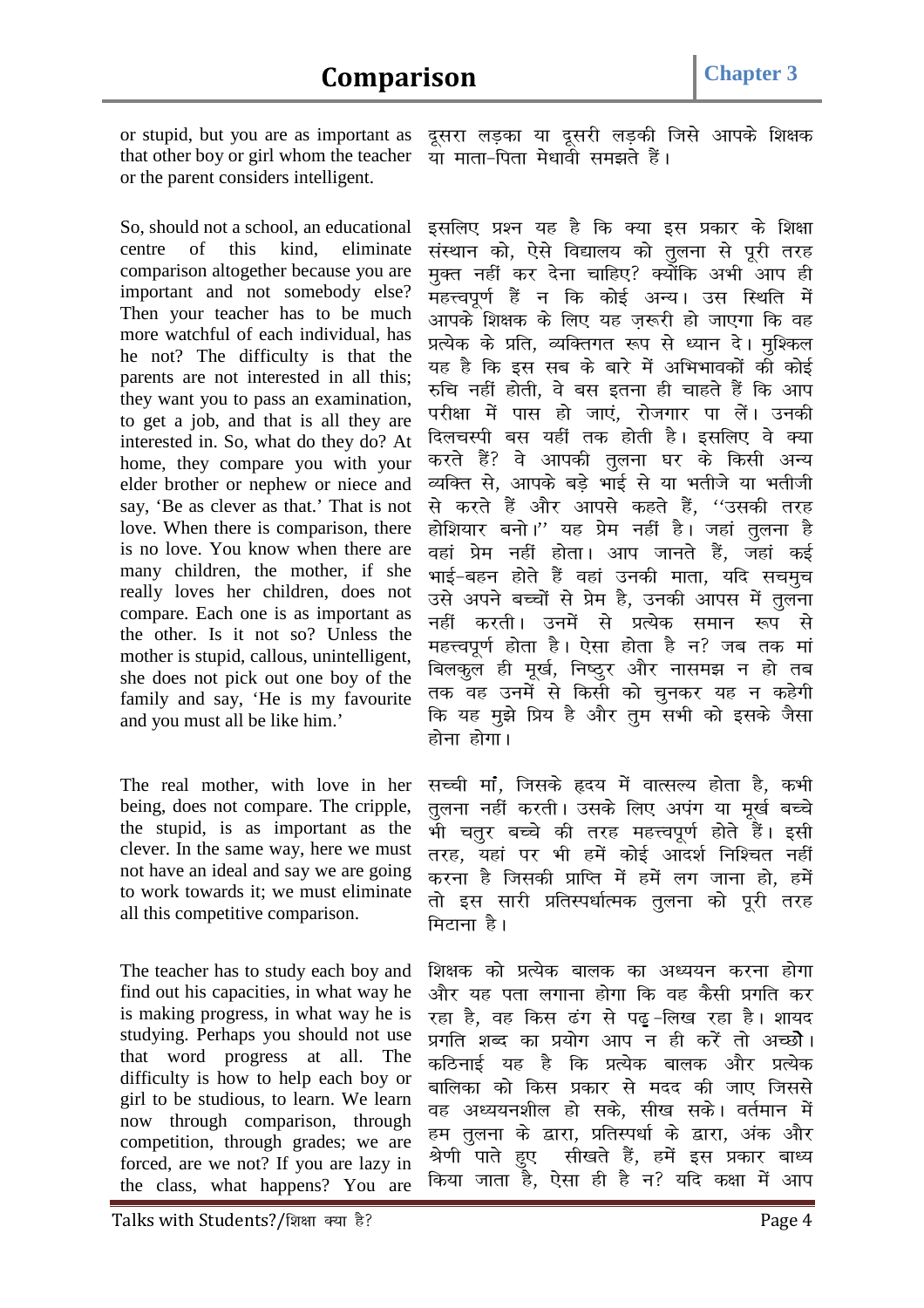or stupid, but you are as important as that other boy or girl whom the teacher or the parent considers intelligent.

So, should not a school, an educational centre of this kind, eliminate comparison altogether because you are important and not somebody else? Then your teacher has to be much more watchful of each individual, has he not? The difficulty is that the parents are not interested in all this; they want you to pass an examination, to get a job, and that is all they are interested in. So, what do they do? At home, they compare you with your elder brother or nephew or niece and say, 'Be as clever as that.' That is not love. When there is comparison, there is no love. You know when there are many children, the mother, if she really loves her children, does not compare. Each one is as important as the other. Is it not so? Unless the mother is stupid, callous, unintelligent, she does not pick out one boy of the family and say, 'He is my favourite and you must all be like him.'

The real mother, with love in her being, does not compare. The cripple, the stupid, is as important as the clever. In the same way, here we must not have an ideal and say we are going to work towards it; we must eliminate all this competitive comparison.

The teacher has to study each boy and find out his capacities, in what way he is making progress, in what way he is studying. Perhaps you should not use that word progress at all. The difficulty is how to help each boy or girl to be studious, to learn. We learn now through comparison, through competition, through grades; we are forced, are we not? If you are lazy in the class, what happens? You are

*nwljk yM+dk ;k nwljh yM+dh ftls vkids f'k{kd ;k ekrk&firk es/kkoh le>rs gSaA* 

इसलिए प्रश्न यह है कि क्या इस प्रकार के शिक्षा *laLFkku dks] ,sls fo|ky; dks rqyuk ls iwjh rjg*  मुक्त नहीं कर देना चाहिए? क्योंकि अभी आप ही .<br>महत्त्वपूर्ण हैं न कि कोई अन्य। उस स्थिति में *vkids f'k{kd ds fy, ;g t+:jh gks tk,xk fd og*  प्रत्येक के प्रति, व्यक्तिगत रूप से ध्यान दे। <u>म</u>ुश्किल यह है कि इस सब के बारे में अभिभावकों की कोई *#fp ugha gksrh] os cl bruk gh pkgrs gSa fd vki*  परीक्षा में पास हो जाएं, रोजगार पा लें। उनकी दिलचस्पी बस यहीं तक होती है। इसलिए वे *क्*या करते हैं? वे आपकी तुलना घर के किसी अन्य *O;fDr ls] vkids cM+s Hkkb Z ls ;k Hkrhts ;k Hkrhth ls djrs gSa vkSj vkils dgrs gSa] ^^mldh rjg*  होशियार बनो।'' यह प्रेम नहीं है। जहां तुलना है वहां प्रेम नहीं होता। आप जानते हैं, जहां कई *Hkkb Z&cgu gksrs gSa ogka mudh ekrk] ;fn lpeqp*  उसे अपने बच्चों से प्रेम है, उनकी आपस में <u>तू</u>लना नहीं करती। उनमें से प्रत्येक समान रूप से महत्त्वपूर्ण होता है। ऐसा होता है न? जब तक मां बिलकूल ही मूर्ख, निष्ठुर और नासमझ न हो तब *rd og muesa ls fdlh dks pqudj ;g u dgsxh*  कि यह मुझे प्रिय है और तुम सभी को इसके जैसा होना होगा।

*lPph ekaa] ftlds ân; esa okRlY; gksrk gS] dHkh rqyuk ugha djrhA mlds fy, viax ;k ew[kZ cPps*  भी चतुर बच्चे की तरह महत्त्वपूर्ण होते हैं। इसी *तरह, यहां पर भी हमें कोई आदर्श निश्चित नहीं djuk gS ftldh çkfIr esa gesa yx tkuk gks] gesa rks bl lkjh çfrLi/kkZRed rqyuk dks iwjh rjg*  मिटाना है।

*f'k{kd dks çR;sd ckyd dk v/;;u djuk gksxk*  और यह पता लगाना होगा कि वह कैसी प्रगति कर रहा है, वह किस ढंग से पढ़*-*लिख रहा है। शायद *प्र*गति शब्द का प्रयोग आप न ही करें तो अच्छोे। कठिनाई यह है कि प्रत्येक बालक और प्रत्येक बालिका को किस प्रकार से मदद की जाए जिससे वह अध्ययनशील हो सके, सीख सके। वर्तमान मे<mark>ं</mark> हम <u>तू</u>लना के द्वारा, प्रतिस्पर्धा के द्वारा, अंक और श्रेणी पाते हुए सीखते हैं, हमें इस प्रकार बाध्य किया जाता है, ऐसा ही है न? यदि कक्षा में आप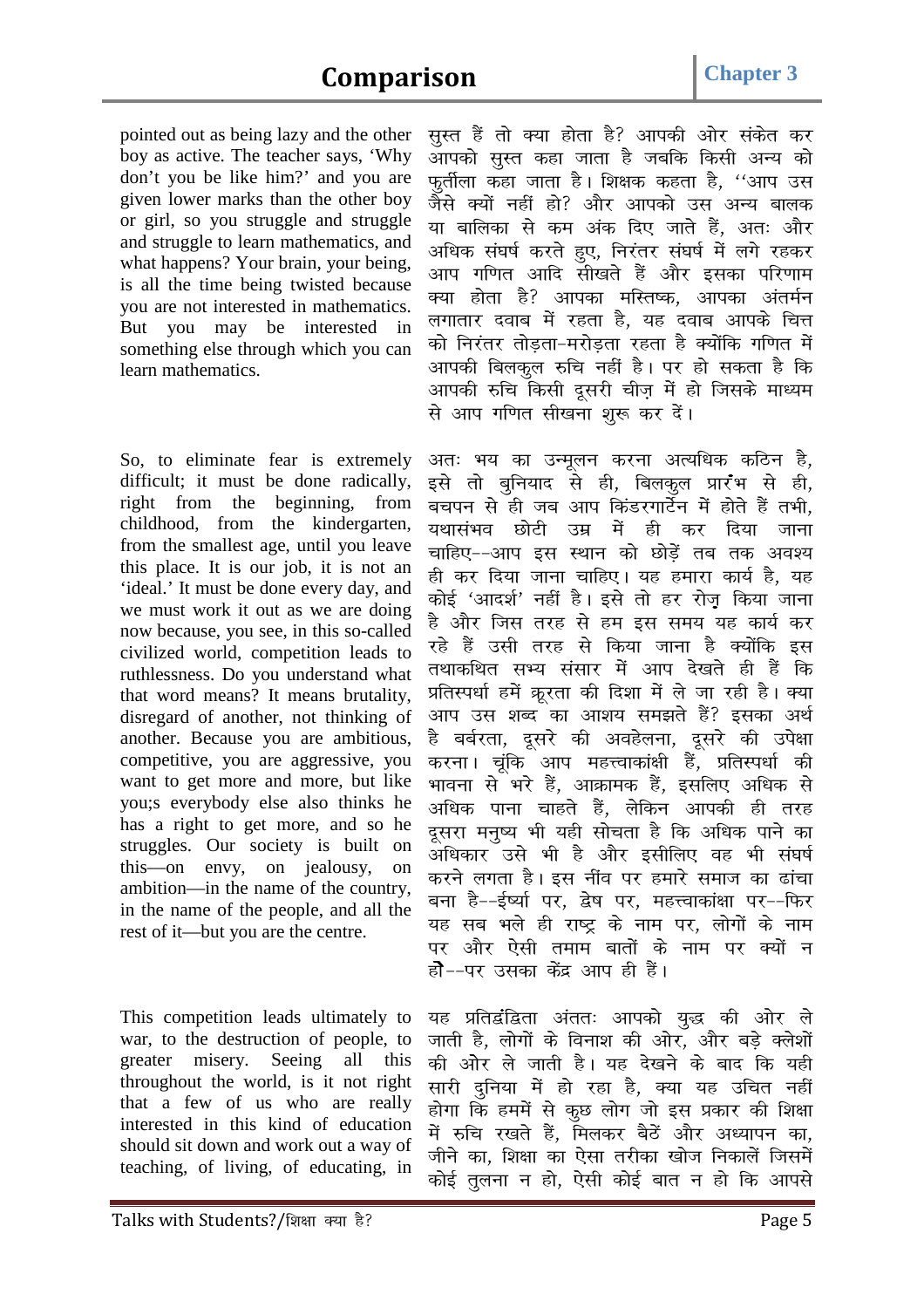pointed out as being lazy and the other boy as active. The teacher says, 'Why don't you be like him?' and you are given lower marks than the other boy or girl, so you struggle and struggle and struggle to learn mathematics, and what happens? Your brain, your being, is all the time being twisted because you are not interested in mathematics. But you may be interested in something else through which you can learn mathematics.

So, to eliminate fear is extremely difficult; it must be done radically, right from the beginning, from childhood, from the kindergarten, from the smallest age, until you leave this place. It is our job, it is not an 'ideal.' It must be done every day, and we must work it out as we are doing now because, you see, in this so-called civilized world, competition leads to ruthlessness. Do you understand what that word means? It means brutality, disregard of another, not thinking of another. Because you are ambitious, competitive, you are aggressive, you want to get more and more, but like you;s everybody else also thinks he has a right to get more, and so he struggles. Our society is built on this—on envy, on jealousy, on ambition—in the name of the country, in the name of the people, and all the rest of it—but you are the centre.

This competition leads ultimately to war, to the destruction of people, to greater misery. Seeing all this throughout the world, is it not right that a few of us who are really interested in this kind of education should sit down and work out a way of teaching, of living, of educating, in *lqLr gSa rks D;k gksrk gS\ vkidh vksj ladsr dj*  आपको सुस्त कहा जाता है जबकि किसी अन्य को *फ*र्तीला कहा जाता है। शिक्षक कहता है, ''आप उस *tSls D;ksa ugha gks\ vkSj vkidks ml vU; ckyd*  या बालिका से कम अंक दिए जाते हैं, अतः और *vf/kd la?k"kZ djrs gq,] fuj arj la?k"kZ esa yxs jgdj*  आप गणित आदि सीखते हैं और इसका परिणाम *क्या होता है? आपका मस्तिष्क, आपका अंतर्मन ल*गातार दवाब में रहता है, यह दवाब आपके चित्त *dks fuj arj rksM+rk&ejksM+rk jgrk gS D;ksafd xf.kr esa vkidh fcydqy #fp ugha gSA ij gks ldrk gS fd*  आपकी रुचि किसी दूसरी चीज़ में हो जिसके माध्यम से आप गणित सीखना शूरू कर दें।

अतः भय का उन्मूलन करना अत्यधिक कठिन ह<mark>े</mark>, इसे तो बुनियाद से ही, बिलकूल प्रार<sup>4</sup>म से ही, *cpiu ls gh tc vki fdaMjxkVsZu esa gksrs gSa rHkh] ;FkklaHko NksVh mez esa gh dj fn;k tkuk*  चाहिए--आप इस स्थान को छोडें तब तक अवश्य ही कर दिया जाना चाहिए। यह हमारा कार्य है, यह कोई 'आदर्श' नहीं है। इसे तो हर रोजू किया जाना है और जिस तरह से हम इस समय यह कार्य कर रहे हैं उसी तरह से किया जाना है क्योंकि इस *rFkkdfFkr lH; lalkj esa vki ns[krs gh gSa fd*  प्रतिस्पर्धा हमें क्रूरता की दिशा में ले जा रही है। क्या आप उस शब्द का आशय समझते हैं? इसका अर्थ है बर्बरता, दुसरे की अवहेलना, दुसरे की उपेक्षा करना। चूंकि आप महत्त्वाकांक्षी हैं, प्रतिस्पर्धा की भावना से भरे हैं, आक्रामक हैं, इसलिए अधिक से *vf/kd ikuk pkgrs gSa] ysfdu vkidh gh rjg*  दूसरा मनुष्य भी यही सोचता है कि अधिक पाने का *vf/kdkj mls Hkh gS vkSj blhfy, og Hkh la?k"kZ*  करने लगता है। इस नींव पर हमारे समाज का ढांचा बना है--ईर्ष्या पर, द्वेष पर, महत्त्वाकांक्षा पर--फिर यह सब भले ही राष्ट्र के नाम पर, लोगों के नाम पर और ऐसी तमाम बातों के नाम पर क्यों न होै--पर उसका केंद्र आप ही हैं।

यह प्रतिद्वंद्विता अंततः आपको युद्ध की ओर ल<mark>े</mark> *tkrh gS] yksxksa ds fouk'k dh vksj] vkSj cM+s Dys'kksa*  की ओर ले जाती है। यह देखने के बाद कि यही *lkjh nqfu;k esa gks jgk gS] D;k ;g mfpr ugh a*  होगा कि हममें से कुछ लोग जो इस प्रकार की शिक्षा में रुचि रखते हैं, मिलकर बैठें और अध्यापन का, जीने का, शिक्षा का ऐसा तरीका खोज निकालें जिसमें कोई तुलना न हो, ऐसी कोई बात न हो कि आपसे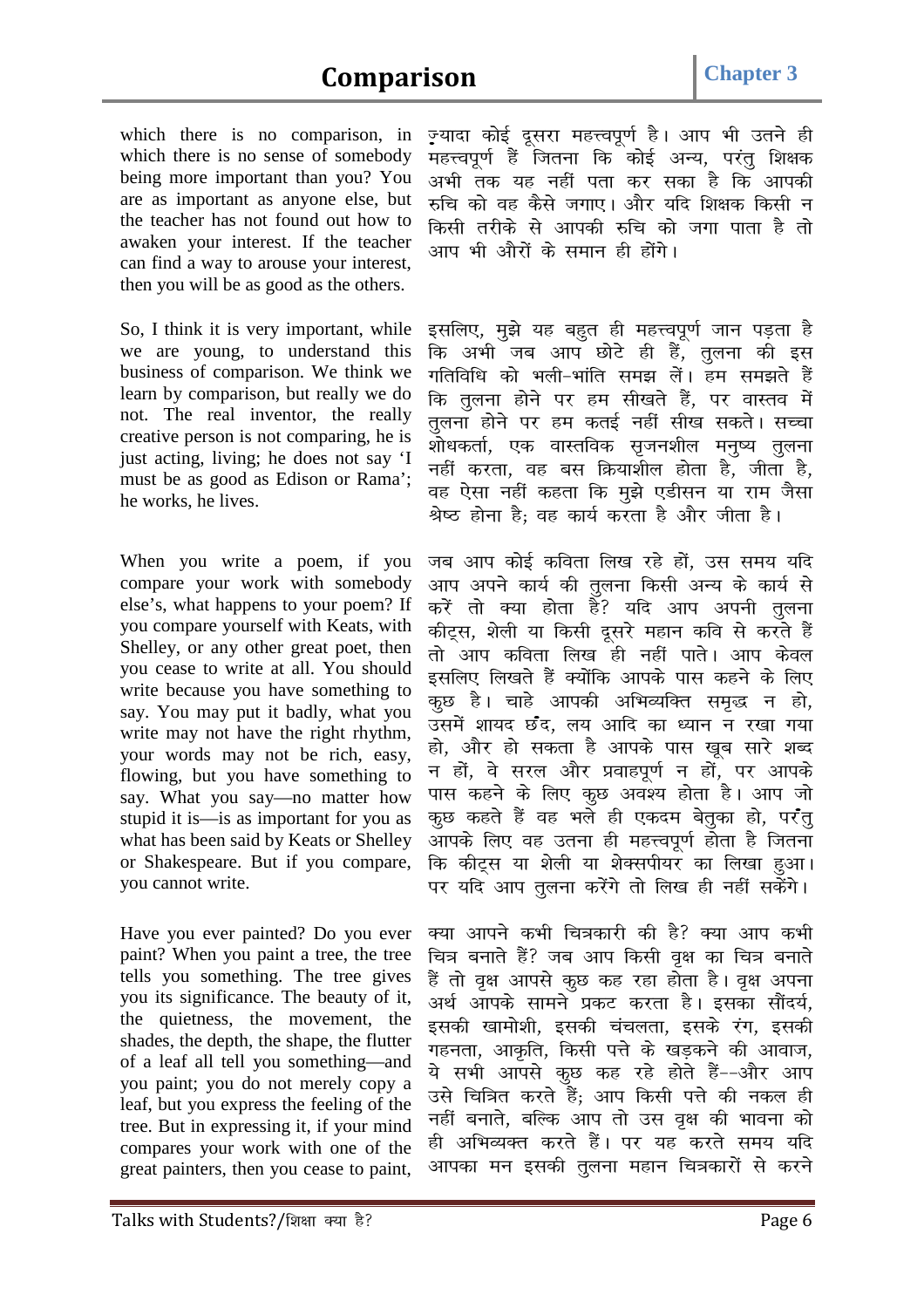## **Comparison Chapter 3**

which there is no comparison, in which there is no sense of somebody being more important than you? You are as important as anyone else, but the teacher has not found out how to awaken your interest. If the teacher can find a way to arouse your interest, then you will be as good as the others.

So, I think it is very important, while we are young, to understand this business of comparison. We think we learn by comparison, but really we do not. The real inventor, the really creative person is not comparing, he is just acting, living; he does not say 'I must be as good as Edison or Rama'; he works, he lives.

When you write a poem, if you compare your work with somebody else's, what happens to your poem? If you compare yourself with Keats, with Shelley, or any other great poet, then you cease to write at all. You should write because you have something to say. You may put it badly, what you write may not have the right rhythm, your words may not be rich, easy, flowing, but you have something to say. What you say—no matter how stupid it is—is as important for you as what has been said by Keats or Shelley or Shakespeare. But if you compare, you cannot write.

Have you ever painted? Do you ever paint? When you paint a tree, the tree tells you something. The tree gives you its significance. The beauty of it, the quietness, the movement, the shades, the depth, the shape, the flutter of a leaf all tell you something—and you paint; you do not merely copy a leaf, but you express the feeling of the tree. But in expressing it, if your mind compares your work with one of the great painters, then you cease to paint,

ज़्यादा कोई दुसरा महत्त्वपूर्ण है। आप भी उतने ही महत्त्वपूर्ण हैं जितना कि कोई अन्य, परंतु शिक्षक अभी तक यह नहीं पता कर सका है कि आपकी *#fp dks og dSls txk,A vkSj ;fn f'k{kd fdlh u किसी तरीके से आपकी रुचि को जगा पाता है तो vki Hkh vkSjksa ds leku gh gksaxsA* 

इसलिए, मुझे यह बहुत ही महत्त्वपूर्ण जान पड़ता है *fd vHkh tc vki NksVs gh gSa] rqyuk dh bl xfrfof/k dks Hkyh&Hkkafr le> ysaA ge le>rs gSa fd rqyuk gksus ij ge lh[krs gSa] ij okLro esa rqyuk gksus ij ge drb Z ugha lh[k ldrsA lPpk*  .<br>शोधकर्ता, एक वास्तविक सृजनशील मनुष्य <u>तू</u>लना *ugha djrk] og cl fØ;k'khy gksrk gS] thrk gS]*  वह ऐसा नहीं कहता कि मूझे एडीसन या राम जैसा *Js"B gksuk gS( og dk;Z djrk gS vkSj thrk gSA* 

जब आप कोई कविता लिख रहे हों, उस समय यदि आप अपने कार्य की तुलना किसी अन्य के कार्य से करें तो क्या होता है? यदि आप अपनी <u>त</u>ुलना कीट्रस, शेली या किसी दूसरे महान कवि से करते हैं *rks vki dfork fy[k gh ugha ikrsA vki dsoy*  इसलिए लिखते हैं क्योंकि आपके पास कहने के लिए *कू*छ है। चाहे आपकी अभिव्यक्ति समृद्ध न हो, .<br>उसमें शायद छंद, लय आदि का ध्यान न रखा गया हो, और हो सकता है आपके पास खूब सारे श<del>ब्द</del> न हों, वे सरल और प्रवाहपूर्ण न हों, पर आपके *पास कहने के लिए कु*छ अवश्य होता है। आप जो *क्*छ कहते हैं वह भले ही एकदम बेतूका हो, परंतू आपके लिए वह उतना ही महत्त्वपूर्ण होता है जितना कि कीट्स या शेली या शेक्सपीयर का लिखा हुआ। पर यदि आप तूलना करेंगे तो लिख ही नहीं सकेंगे।

*क्या आपने कभी चित्रकारी की है? क्या आप कभी* चित्र बनाते हैं? जब आप किसी वृक्ष का चित्र बनाते *gSa rks o`{k vkils dqN dg jgk gksrk gSA o`{k viuk*  अर्थ आपके सामने प्रकट करता है। इसका सौंदर्य, इसकी खामोशी, इसकी चंचलता, इसके रंग, इसकी गहनता, आकृति, किसी पत्ते के खडकने की आवाज, ये सभी आपसे कूछ कह रहे होते हैं--और आप उसे चित्रित करते हैं; आप किसी पत्ते की नकल ही *ugha cukrs] cfYd vki rks ml o`{k dh Hkkouk dks*  ही अभिव्यक्त करते हैं। पर यह करते समय यदि आपका मन इसकी तुलना महान चित्रकारों से करने